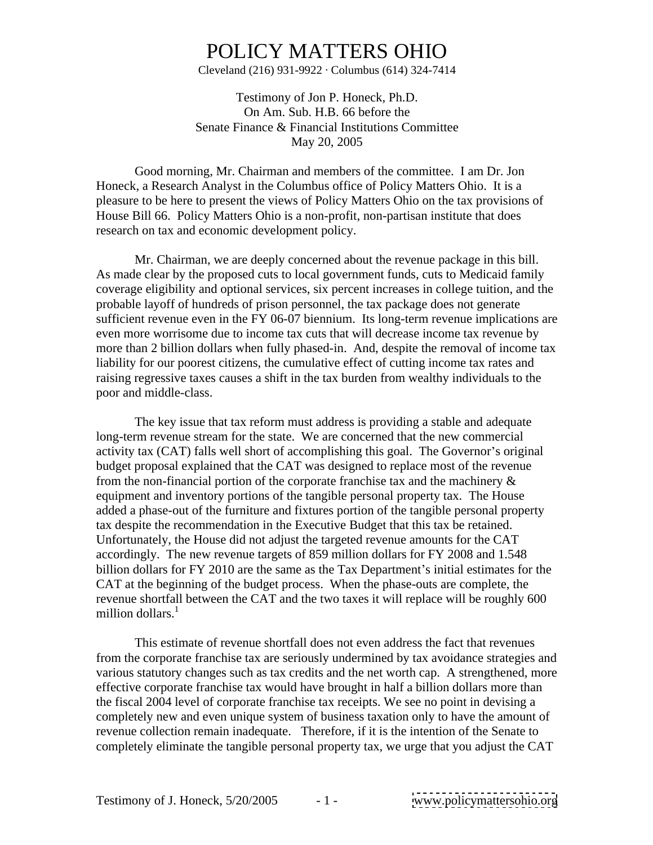Cleveland (216) 931-9922  $\cdot$  Columbus (614) 324-7414

Testimony of Jon P. Honeck, Ph.D. On Am. Sub. H.B. 66 before the Senate Finance & Financial Institutions Committee May 20, 2005

Good morning, Mr. Chairman and members of the committee. I am Dr. Jon Honeck, a Research Analyst in the Columbus office of Policy Matters Ohio. It is a pleasure to be here to present the views of Policy Matters Ohio on the tax provisions of House Bill 66. Policy Matters Ohio is a non-profit, non-partisan institute that does research on tax and economic development policy.

Mr. Chairman, we are deeply concerned about the revenue package in this bill. As made clear by the proposed cuts to local government funds, cuts to Medicaid family coverage eligibility and optional services, six percent increases in college tuition, and the probable layoff of hundreds of prison personnel, the tax package does not generate sufficient revenue even in the FY 06-07 biennium. Its long-term revenue implications are even more worrisome due to income tax cuts that will decrease income tax revenue by more than 2 billion dollars when fully phased-in. And, despite the removal of income tax liability for our poorest citizens, the cumulative effect of cutting income tax rates and raising regressive taxes causes a shift in the tax burden from wealthy individuals to the poor and middle-class.

The key issue that tax reform must address is providing a stable and adequate long-term revenue stream for the state. We are concerned that the new commercial activity tax (CAT) falls well short of accomplishing this goal. The Governor's original budget proposal explained that the CAT was designed to replace most of the revenue from the non-financial portion of the corporate franchise tax and the machinery  $\&$ equipment and inventory portions of the tangible personal property tax. The House added a phase-out of the furniture and fixtures portion of the tangible personal property tax despite the recommendation in the Executive Budget that this tax be retained. Unfortunately, the House did not adjust the targeted revenue amounts for the CAT accordingly. The new revenue targets of 859 million dollars for FY 2008 and 1.548 billion dollars for FY 2010 are the same as the Tax Department's initial estimates for the CAT at the beginning of the budget process. When the phase-outs are complete, the revenue shortfall between the CAT and the two taxes it will replace will be roughly 600 million dollars.<sup>1</sup> million dollars.<sup>1</sup>

 This estimate of revenue shortfall does not even address the fact that revenues from the corporate franchise tax are seriously undermined by tax avoidance strategies and various statutory changes such as tax credits and the net worth cap. A strengthened, more effective corporate franchise tax would have brought in half a billion dollars more than the fiscal 2004 level of corporate franchise tax receipts. We see no point in devising a completely new and even unique system of business taxation only to have the amount of revenue collection remain inadequate. Therefore, if it is the intention of the Senate to completely eliminate the tangible personal property tax, we urge that you adjust the CAT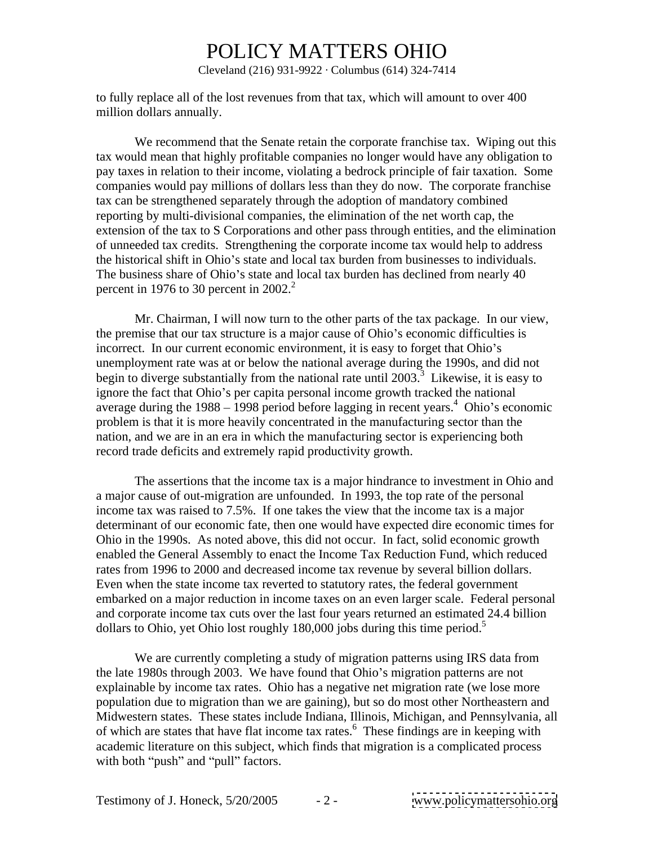Cleveland (216) 931-9922  $\cdot$  Columbus (614) 324-7414

to fully replace all of the lost revenues from that tax, which will amount to over 400 million dollars annually.

We recommend that the Senate retain the corporate franchise tax. Wiping out this tax would mean that highly profitable companies no longer would have any obligation to pay taxes in relation to their income, violating a bedrock principle of fair taxation. Some companies would pay millions of dollars less than they do now. The corporate franchise tax can be strengthened separately through the adoption of mandatory combined reporting by multi-divisional companies, the elimination of the net worth cap, the extension of the tax to S Corporations and other pass through entities, and the elimination of unneeded tax credits. Strengthening the corporate income tax would help to address the historical shift in Ohio's state and local tax burden from businesses to individuals. The business share of Ohio's state and local tax burden has declined from nearly 40 percent in 1976 to 30 percent in  $2002<sup>2</sup>$ .

 Mr. Chairman, I will now turn to the other parts of the tax package. In our view, the premise that our tax structure is a major cause of Ohio's economic difficulties is incorrect. In our current economic environment, it is easy to forget that Ohio's unemployment rate was at or below the national average during the 1990s, and did not begin to diverge substantially from the national rate until  $2003$ <sup>3</sup>. Likewise, it is easy to ignore the fact that Ohio's per capita personal income growth tracked the national average during the  $1988 - 1998$  period before lagging in recent years.<sup>4</sup> Ohio's economic problem is that it is more heavily concentrated in the manufacturing sector than the nation, and we are in an era in which the manufacturing sector is experiencing both record trade deficits and extremely rapid productivity growth.

The assertions that the income tax is a major hindrance to investment in Ohio and a major cause of out-migration are unfounded. In 1993, the top rate of the personal income tax was raised to 7.5%. If one takes the view that the income tax is a major determinant of our economic fate, then one would have expected dire economic times for Ohio in the 1990s. As noted above, this did not occur. In fact, solid economic growth enabled the General Assembly to enact the Income Tax Reduction Fund, which reduced rates from 1996 to 2000 and decreased income tax revenue by several billion dollars. Even when the state income tax reverted to statutory rates, the federal government embarked on a major reduction in income taxes on an even larger scale. Federal personal and corporate income tax cuts over the last four years returned an estimated 24.4 billion dollars to Ohio, yet Ohio lost roughly  $180,000$  jobs during this time period.<sup>5</sup>

 We are currently completing a study of migration patterns using IRS data from the late 1980s through 2003. We have found that Ohio's migration patterns are not explainable by income tax rates. Ohio has a negative net migration rate (we lose more population due to migration than we are gaining), but so do most other Northeastern and Midwestern states. These states include Indiana, Illinois, Michigan, and Pennsylvania, all of which are states that have flat income tax rates.<sup>6</sup> These findings are in keeping with academic literature on this subject, which finds that migration is a complicated process with both "push" and "pull" factors.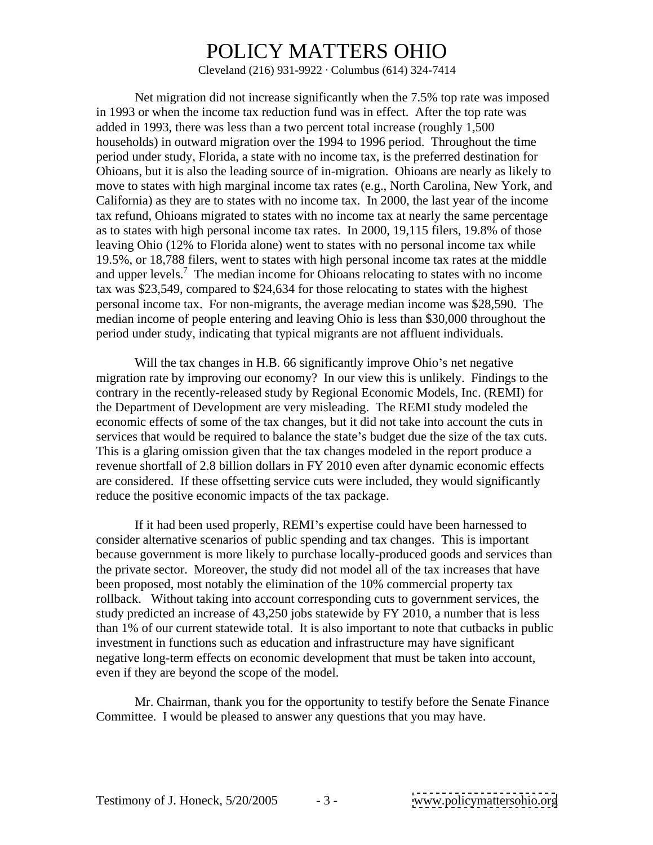Cleveland (216) 931-9922  $\cdot$  Columbus (614) 324-7414

Net migration did not increase significantly when the 7.5% top rate was imposed in 1993 or when the income tax reduction fund was in effect. After the top rate was added in 1993, there was less than a two percent total increase (roughly 1,500 households) in outward migration over the 1994 to 1996 period. Throughout the time period under study, Florida, a state with no income tax, is the preferred destination for Ohioans, but it is also the leading source of in-migration. Ohioans are nearly as likely to move to states with high marginal income tax rates (e.g., North Carolina, New York, and California) as they are to states with no income tax. In 2000, the last year of the income tax refund, Ohioans migrated to states with no income tax at nearly the same percentage as to states with high personal income tax rates. In 2000, 19,115 filers, 19.8% of those leaving Ohio (12% to Florida alone) went to states with no personal income tax while 19.5%, or 18,788 filers, went to states with high personal income tax rates at the middle and upper levels.<sup>7</sup> The median income for Ohioans relocating to states with no income tax was \$23,549, compared to \$24,634 for those relocating to states with the highest personal income tax. For non-migrants, the average median income was \$28,590. The median income of people entering and leaving Ohio is less than \$30,000 throughout the period under study, indicating that typical migrants are not affluent individuals.

Will the tax changes in H.B. 66 significantly improve Ohio's net negative migration rate by improving our economy? In our view this is unlikely. Findings to the contrary in the recently-released study by Regional Economic Models, Inc. (REMI) for the Department of Development are very misleading. The REMI study modeled the economic effects of some of the tax changes, but it did not take into account the cuts in services that would be required to balance the state's budget due the size of the tax cuts. This is a glaring omission given that the tax changes modeled in the report produce a revenue shortfall of 2.8 billion dollars in FY 2010 even after dynamic economic effects are considered. If these offsetting service cuts were included, they would significantly reduce the positive economic impacts of the tax package.

If it had been used properly, REMI's expertise could have been harnessed to consider alternative scenarios of public spending and tax changes. This is important because government is more likely to purchase locally-produced goods and services than the private sector. Moreover, the study did not model all of the tax increases that have been proposed, most notably the elimination of the 10% commercial property tax rollback. Without taking into account corresponding cuts to government services, the study predicted an increase of 43,250 jobs statewide by FY 2010, a number that is less than 1% of our current statewide total. It is also important to note that cutbacks in public investment in functions such as education and infrastructure may have significant negative long-term effects on economic development that must be taken into account, even if they are beyond the scope of the model.

Mr. Chairman, thank you for the opportunity to testify before the Senate Finance Committee. I would be pleased to answer any questions that you may have.